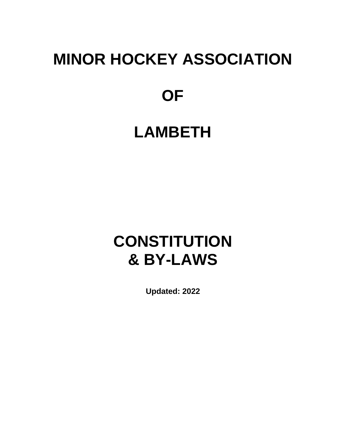# **MINOR HOCKEY ASSOCIATION**

## **OF**

## **LAMBETH**

## **CONSTITUTION & BY-LAWS**

**Updated: 2022**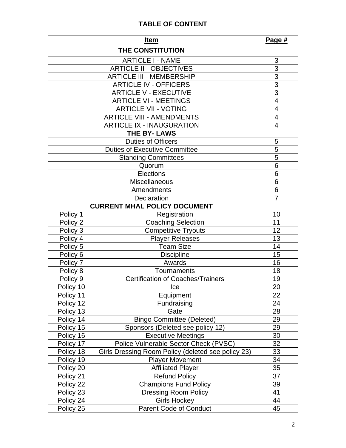#### **TABLE OF CONTENT**

|                                     | <b>Item</b>                                        | Page #                   |  |  |
|-------------------------------------|----------------------------------------------------|--------------------------|--|--|
|                                     | THE CONSTITUTION                                   |                          |  |  |
|                                     | <b>ARTICLE I - NAME</b>                            | 3                        |  |  |
|                                     | <b>ARTICLE II - OBJECTIVES</b>                     | 3                        |  |  |
|                                     | <b>ARTICLE III - MEMBERSHIP</b>                    |                          |  |  |
|                                     | <b>ARTICLE IV - OFFICERS</b>                       | $\frac{3}{3}$            |  |  |
|                                     | <b>ARTICLE V - EXECUTIVE</b>                       |                          |  |  |
| <b>ARTICLE VI - MEETINGS</b>        |                                                    | $\overline{4}$           |  |  |
| <b>ARTICLE VII - VOTING</b>         |                                                    | $\overline{\mathbf{4}}$  |  |  |
| <b>ARTICLE VIII - AMENDMENTS</b>    |                                                    | $\overline{\mathcal{A}}$ |  |  |
| <b>ARTICLE IX - INAUGURATION</b>    |                                                    | 4                        |  |  |
|                                     | <b>THE BY-LAWS</b>                                 |                          |  |  |
|                                     | <b>Duties of Officers</b>                          | 5                        |  |  |
|                                     | <b>Duties of Executive Committee</b>               | 5                        |  |  |
|                                     | <b>Standing Committees</b>                         | 5                        |  |  |
|                                     | Quorum                                             | $\overline{6}$           |  |  |
|                                     | <b>Elections</b>                                   | 6                        |  |  |
|                                     | Miscellaneous                                      | 6                        |  |  |
|                                     | Amendments                                         | $6\phantom{1}$           |  |  |
|                                     | Declaration                                        | $\overline{7}$           |  |  |
| <b>CURRENT MHAL POLICY DOCUMENT</b> |                                                    |                          |  |  |
| Policy 1                            | Registration                                       | 10                       |  |  |
| Policy 2                            | <b>Coaching Selection</b>                          | 11                       |  |  |
| Policy 3                            | <b>Competitive Tryouts</b>                         | 12                       |  |  |
| Policy 4                            | <b>Player Releases</b>                             | 13                       |  |  |
| Policy 5                            | <b>Team Size</b>                                   | 14                       |  |  |
| Policy 6                            | <b>Discipline</b>                                  | 15                       |  |  |
| Policy 7                            | Awards                                             | 16                       |  |  |
| Policy 8                            | Tournaments                                        | 18                       |  |  |
| Policy 9                            | Certification of Coaches/Trainers                  | 19                       |  |  |
| Policy 10                           | Ice                                                | 20                       |  |  |
| Policy 11                           | Equipment                                          | 22                       |  |  |
| Policy 12                           | Fundraising                                        | 24                       |  |  |
| Policy 13                           | Gate                                               | 28                       |  |  |
| Policy 14                           | <b>Bingo Committee (Deleted)</b>                   | 29                       |  |  |
| Policy 15                           | Sponsors (Deleted see policy 12)                   | 29                       |  |  |
| Policy 16                           | <b>Executive Meetings</b>                          | 30                       |  |  |
| Policy 17                           | Police Vulnerable Sector Check (PVSC)              | 32                       |  |  |
| Policy 18                           | Girls Dressing Room Policy (deleted see policy 23) | 33                       |  |  |
| Policy 19                           | <b>Player Movement</b>                             | 34                       |  |  |
| Policy 20                           | <b>Affiliated Player</b>                           | 35                       |  |  |
| Policy 21                           | <b>Refund Policy</b>                               | 37                       |  |  |
| Policy 22                           | <b>Champions Fund Policy</b>                       | 39                       |  |  |
| Policy 23                           | <b>Dressing Room Policy</b>                        | 41                       |  |  |
| Policy 24                           | <b>Girls Hockey</b>                                | 44                       |  |  |
| Policy 25                           | Parent Code of Conduct                             | 45                       |  |  |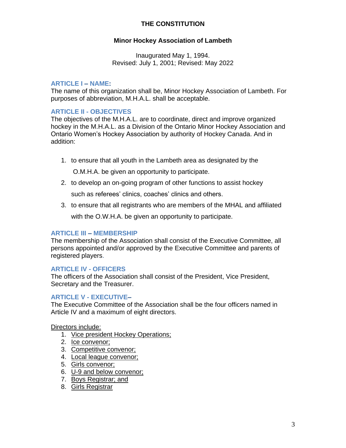#### **THE CONSTITUTION**

#### **Minor Hockey Association of Lambeth**

Inaugurated May 1, 1994. Revised: July 1, 2001; Revised: May 2022

#### **ARTICLE I – NAME:**

The name of this organization shall be, Minor Hockey Association of Lambeth. For purposes of abbreviation, M.H.A.L. shall be acceptable.

#### **ARTICLE II - OBJECTIVES**

The objectives of the M.H.A.L. are to coordinate, direct and improve organized hockey in the M.H.A.L. as a Division of the Ontario Minor Hockey Association and Ontario Women's Hockey Association by authority of Hockey Canada. And in addition:

1. to ensure that all youth in the Lambeth area as designated by the

O.M.H.A. be given an opportunity to participate.

2. to develop an on-going program of other functions to assist hockey

such as referees' clinics, coaches' clinics and others.

3. to ensure that all registrants who are members of the MHAL and affiliated

with the O.W.H.A. be given an opportunity to participate.

#### **ARTICLE III – MEMBERSHIP**

The membership of the Association shall consist of the Executive Committee, all persons appointed and/or approved by the Executive Committee and parents of registered players.

#### **ARTICLE IV - OFFICERS**

The officers of the Association shall consist of the President, Vice President, Secretary and the Treasurer.

#### **ARTICLE V - EXECUTIVE–**

The Executive Committee of the Association shall be the four officers named in Article IV and a maximum of eight directors.

Directors include:

1. Vice president Hockey Operations;

- 2. Ice convenor;
- 3. Competitive convenor;
- 4. Local league convenor;
- 5. Girls convenor;
- 6. U-9 and below convenor;
- 7. Boys Registrar; and
- 8. Girls Registrar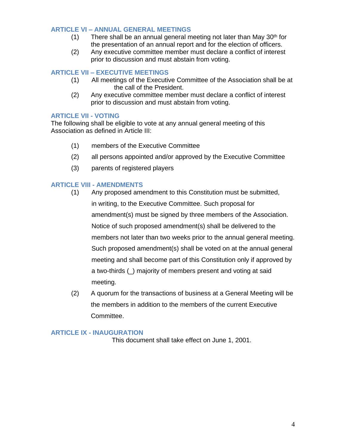#### **ARTICLE VI – ANNUAL GENERAL MEETINGS**

- $(1)$  There shall be an annual general meeting not later than May 30<sup>th</sup> for the presentation of an annual report and for the election of officers.
- (2) Any executive committee member must declare a conflict of interest prior to discussion and must abstain from voting.

#### **ARTICLE VII – EXECUTIVE MEETINGS**

- (1) All meetings of the Executive Committee of the Association shall be at the call of the President.
- (2) Any executive committee member must declare a conflict of interest prior to discussion and must abstain from voting.

#### **ARTICLE VII - VOTING**

The following shall be eligible to vote at any annual general meeting of this Association as defined in Article III:

- (1) members of the Executive Committee
- (2) all persons appointed and/or approved by the Executive Committee
- (3) parents of registered players

#### **ARTICLE VIII - AMENDMENTS**

- (1) Any proposed amendment to this Constitution must be submitted, in writing, to the Executive Committee. Such proposal for amendment(s) must be signed by three members of the Association. Notice of such proposed amendment(s) shall be delivered to the members not later than two weeks prior to the annual general meeting. Such proposed amendment(s) shall be voted on at the annual general meeting and shall become part of this Constitution only if approved by a two-thirds (\_) majority of members present and voting at said meeting.
- (2) A quorum for the transactions of business at a General Meeting will be the members in addition to the members of the current Executive Committee.

#### **ARTICLE IX - INAUGURATION**

This document shall take effect on June 1, 2001.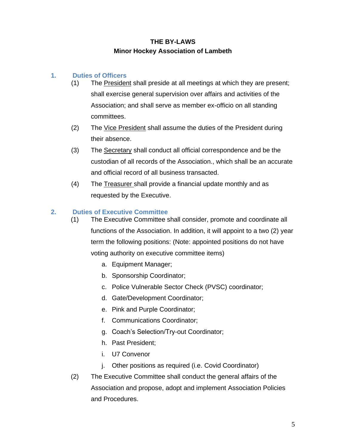#### **THE BY-LAWS Minor Hockey Association of Lambeth**

#### **1. Duties of Officers**

- (1) The President shall preside at all meetings at which they are present; shall exercise general supervision over affairs and activities of the Association; and shall serve as member ex-officio on all standing committees.
- (2) The Vice President shall assume the duties of the President during their absence.
- (3) The Secretary shall conduct all official correspondence and be the custodian of all records of the Association., which shall be an accurate and official record of all business transacted.
- (4) The Treasurer shall provide a financial update monthly and as requested by the Executive.

#### **2. Duties of Executive Committee**

- (1) The Executive Committee shall consider, promote and coordinate all functions of the Association. In addition, it will appoint to a two (2) year term the following positions: (Note: appointed positions do not have voting authority on executive committee items)
	- a. Equipment Manager;
	- b. Sponsorship Coordinator;
	- c. Police Vulnerable Sector Check (PVSC) coordinator;
	- d. Gate/Development Coordinator;
	- e. Pink and Purple Coordinator;
	- f. Communications Coordinator;
	- g. Coach's Selection/Try-out Coordinator;
	- h. Past President;
	- i. U7 Convenor
	- j. Other positions as required (i.e. Covid Coordinator)
- (2) The Executive Committee shall conduct the general affairs of the Association and propose, adopt and implement Association Policies and Procedures.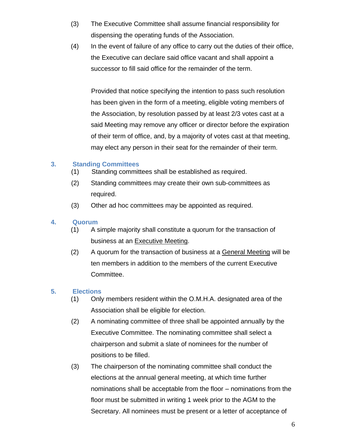- (3) The Executive Committee shall assume financial responsibility for dispensing the operating funds of the Association.
- (4) In the event of failure of any office to carry out the duties of their office, the Executive can declare said office vacant and shall appoint a successor to fill said office for the remainder of the term.

Provided that notice specifying the intention to pass such resolution has been given in the form of a meeting, eligible voting members of the Association, by resolution passed by at least 2/3 votes cast at a said Meeting may remove any officer or director before the expiration of their term of office, and, by a majority of votes cast at that meeting, may elect any person in their seat for the remainder of their term.

#### **3. Standing Committees**

- (1) Standing committees shall be established as required.
- (2) Standing committees may create their own sub-committees as required.
- (3) Other ad hoc committees may be appointed as required.

#### **4. Quorum**

- (1) A simple majority shall constitute a quorum for the transaction of business at an Executive Meeting.
- (2) A quorum for the transaction of business at a General Meeting will be ten members in addition to the members of the current Executive Committee.

#### **5. Elections**

- (1) Only members resident within the O.M.H.A. designated area of the Association shall be eligible for election.
- (2) A nominating committee of three shall be appointed annually by the Executive Committee. The nominating committee shall select a chairperson and submit a slate of nominees for the number of positions to be filled.
- (3) The chairperson of the nominating committee shall conduct the elections at the annual general meeting, at which time further nominations shall be acceptable from the floor – nominations from the floor must be submitted in writing 1 week prior to the AGM to the Secretary. All nominees must be present or a letter of acceptance of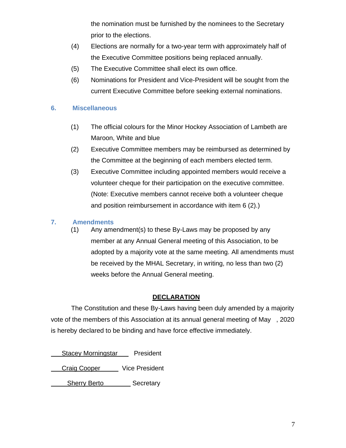the nomination must be furnished by the nominees to the Secretary prior to the elections.

- (4) Elections are normally for a two-year term with approximately half of the Executive Committee positions being replaced annually.
- (5) The Executive Committee shall elect its own office.
- (6) Nominations for President and Vice-President will be sought from the current Executive Committee before seeking external nominations.

#### **6. Miscellaneous**

- (1) The official colours for the Minor Hockey Association of Lambeth are Maroon, White and blue
- (2) Executive Committee members may be reimbursed as determined by the Committee at the beginning of each members elected term.
- (3) Executive Committee including appointed members would receive a volunteer cheque for their participation on the executive committee. (Note: Executive members cannot receive both a volunteer cheque and position reimbursement in accordance with item 6 (2).)

#### **7. Amendments**

(1) Any amendment(s) to these By-Laws may be proposed by any member at any Annual General meeting of this Association, to be adopted by a majority vote at the same meeting. All amendments must be received by the MHAL Secretary, in writing, no less than two (2) weeks before the Annual General meeting.

#### **DECLARATION**

The Constitution and these By-Laws having been duly amended by a majority vote of the members of this Association at its annual general meeting of May , 2020 is hereby declared to be binding and have force effective immediately.

Stacey Morningstar President Craig Cooper Vice President Sherry Berto Secretary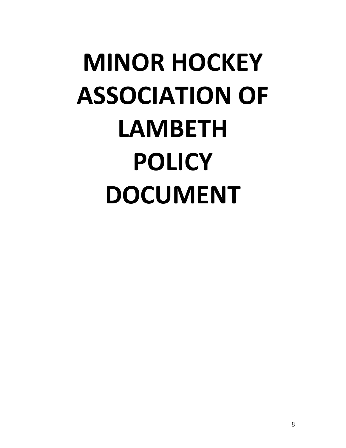# **MINOR HOCKEY ASSOCIATION OF LAMBETH POLICY DOCUMENT**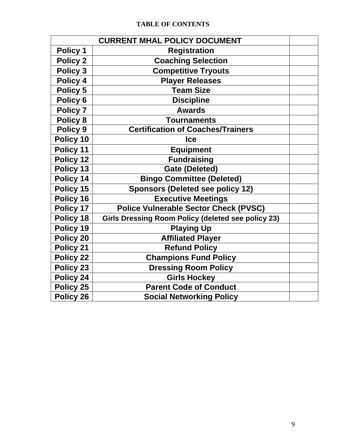| <b>CURRENT MHAL POLICY DOCUMENT</b> |                                                           |  |
|-------------------------------------|-----------------------------------------------------------|--|
| Policy 1                            | <b>Registration</b>                                       |  |
| <b>Policy 2</b>                     | <b>Coaching Selection</b>                                 |  |
| Policy 3                            | <b>Competitive Tryouts</b>                                |  |
| Policy 4                            | <b>Player Releases</b>                                    |  |
| Policy 5                            | <b>Team Size</b>                                          |  |
| Policy 6                            | <b>Discipline</b>                                         |  |
| <b>Policy 7</b>                     | <b>Awards</b>                                             |  |
| <b>Policy 8</b>                     | <b>Tournaments</b>                                        |  |
| Policy 9                            | <b>Certification of Coaches/Trainers</b>                  |  |
| Policy 10                           | <b>Ice</b>                                                |  |
| Policy 11                           | <b>Equipment</b>                                          |  |
| Policy 12                           | <b>Fundraising</b>                                        |  |
| Policy 13                           | <b>Gate (Deleted)</b>                                     |  |
| Policy 14                           | <b>Bingo Committee (Deleted)</b>                          |  |
| Policy 15                           | <b>Sponsors (Deleted see policy 12)</b>                   |  |
| Policy 16                           | <b>Executive Meetings</b>                                 |  |
| Policy 17                           | <b>Police Vulnerable Sector Check (PVSC)</b>              |  |
| Policy 18                           | <b>Girls Dressing Room Policy (deleted see policy 23)</b> |  |
| Policy 19                           | <b>Playing Up</b>                                         |  |
| Policy 20                           | <b>Affiliated Player</b>                                  |  |
| Policy 21                           | <b>Refund Policy</b>                                      |  |
| Policy 22                           | <b>Champions Fund Policy</b>                              |  |
| Policy 23                           | <b>Dressing Room Policy</b>                               |  |
| Policy 24                           | <b>Girls Hockey</b>                                       |  |
| Policy 25                           | <b>Parent Code of Conduct</b>                             |  |
| Policy 26                           | <b>Social Networking Policy</b>                           |  |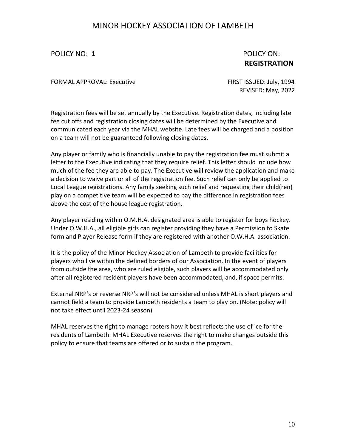POLICY NO: **1** POLICY ON:

## **REGISTRATION**

FORMAL APPROVAL: Executive FIRST ISSUED: July, 1994

REVISED: May, 2022

Registration fees will be set annually by the Executive. Registration dates, including late fee cut offs and registration closing dates will be determined by the Executive and communicated each year via the MHAL website. Late fees will be charged and a position on a team will not be guaranteed following closing dates.

Any player or family who is financially unable to pay the registration fee must submit a letter to the Executive indicating that they require relief. This letter should include how much of the fee they are able to pay. The Executive will review the application and make a decision to waive part or all of the registration fee. Such relief can only be applied to Local League registrations. Any family seeking such relief and requesting their child(ren) play on a competitive team will be expected to pay the difference in registration fees above the cost of the house league registration.

Any player residing within O.M.H.A. designated area is able to register for boys hockey. Under O.W.H.A., all eligible girls can register providing they have a Permission to Skate form and Player Release form if they are registered with another O.W.H.A. association.

It is the policy of the Minor Hockey Association of Lambeth to provide facilities for players who live within the defined borders of our Association. In the event of players from outside the area, who are ruled eligible, such players will be accommodated only after all registered resident players have been accommodated, and, if space permits.

External NRP's or reverse NRP's will not be considered unless MHAL is short players and cannot field a team to provide Lambeth residents a team to play on. (Note: policy will not take effect until 2023-24 season)

MHAL reserves the right to manage rosters how it best reflects the use of ice for the residents of Lambeth. MHAL Executive reserves the right to make changes outside this policy to ensure that teams are offered or to sustain the program.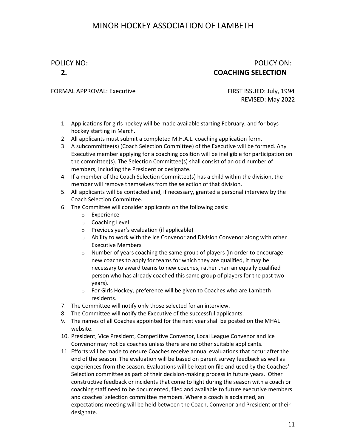#### POLICY NO: POLICY ON: **2. COACHING SELECTION**

#### FORMAL APPROVAL: Executive FIRST ISSUED: July, 1994

REVISED: May 2022

- 1. Applications for girls hockey will be made available starting February, and for boys hockey starting in March.
- 2. All applicants must submit a completed M.H.A.L. coaching application form.
- 3. A subcommittee(s) (Coach Selection Committee) of the Executive will be formed. Any Executive member applying for a coaching position will be ineligible for participation on the committee(s). The Selection Committee(s) shall consist of an odd number of members, including the President or designate.
- 4. If a member of the Coach Selection Committee(s) has a child within the division, the member will remove themselves from the selection of that division.
- 5. All applicants will be contacted and, if necessary, granted a personal interview by the Coach Selection Committee.
- 6. The Committee will consider applicants on the following basis:
	- o Experience
	- o Coaching Level
	- o Previous year's evaluation (if applicable)
	- o Ability to work with the Ice Convenor and Division Convenor along with other Executive Members
	- o Number of years coaching the same group of players (In order to encourage new coaches to apply for teams for which they are qualified, it may be necessary to award teams to new coaches, rather than an equally qualified person who has already coached this same group of players for the past two years).
	- o For Girls Hockey, preference will be given to Coaches who are Lambeth residents.
- 7. The Committee will notify only those selected for an interview.
- 8. The Committee will notify the Executive of the successful applicants.
- 9. The names of all Coaches appointed for the next year shall be posted on the MHAL website.
- 10. President, Vice President, Competitive Convenor, Local League Convenor and Ice Convenor may not be coaches unless there are no other suitable applicants.
- 11. Efforts will be made to ensure Coaches receive annual evaluations that occur after the end of the season. The evaluation will be based on parent survey feedback as well as experiences from the season. Evaluations will be kept on file and used by the Coaches' Selection committee as part of their decision-making process in future years. Other constructive feedback or incidents that come to light during the season with a coach or coaching staff need to be documented, filed and available to future executive members and coaches' selection committee members. Where a coach is acclaimed, an expectations meeting will be held between the Coach, Convenor and President or their designate.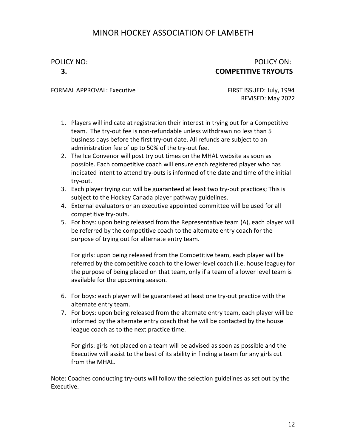#### POLICY NO: POLICY ON: **3. COMPETITIVE TRYOUTS**

FORMAL APPROVAL: Executive FIRST ISSUED: July, 1994

REVISED: May 2022

- 1. Players will indicate at registration their interest in trying out for a Competitive team. The try-out fee is non-refundable unless withdrawn no less than 5 business days before the first try-out date. All refunds are subject to an administration fee of up to 50% of the try-out fee.
- 2. The Ice Convenor will post try out times on the MHAL website as soon as possible. Each competitive coach will ensure each registered player who has indicated intent to attend try-outs is informed of the date and time of the initial try-out.
- 3. Each player trying out will be guaranteed at least two try-out practices; This is subject to the Hockey Canada player pathway guidelines.
- 4. External evaluators or an executive appointed committee will be used for all competitive try-outs.
- 5. For boys: upon being released from the Representative team (A), each player will be referred by the competitive coach to the alternate entry coach for the purpose of trying out for alternate entry team.

For girls: upon being released from the Competitive team, each player will be referred by the competitive coach to the lower-level coach (i.e. house league) for the purpose of being placed on that team, only if a team of a lower level team is available for the upcoming season.

- 6. For boys: each player will be guaranteed at least one try-out practice with the alternate entry team.
- 7. For boys: upon being released from the alternate entry team, each player will be informed by the alternate entry coach that he will be contacted by the house league coach as to the next practice time.

For girls: girls not placed on a team will be advised as soon as possible and the Executive will assist to the best of its ability in finding a team for any girls cut from the MHAL.

Note: Coaches conducting try-outs will follow the selection guidelines as set out by the Executive.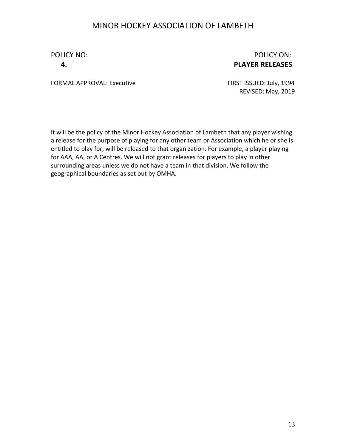#### POLICY NO: **POLICY ON:** POLICY ON: **4. PLAYER RELEASES**

FORMAL APPROVAL: Executive FIRST ISSUED: July, 1994

REVISED: May, 2019

It will be the policy of the Minor Hockey Association of Lambeth that any player wishing a release for the purpose of playing for any other team or Association which he or she is entitled to play for, will be released to that organization. For example, a player playing for AAA, AA, or A Centres. We will not grant releases for players to play in other surrounding areas unless we do not have a team in that division. We follow the geographical boundaries as set out by OMHA.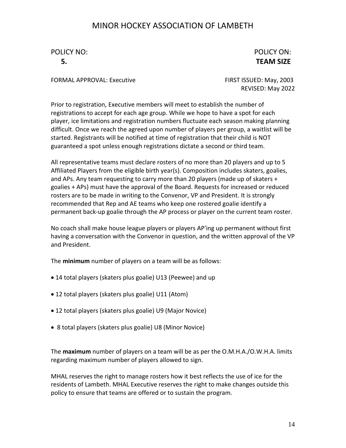## POLICY NO: POLICY ON:

## **5. TEAM SIZE**

FORMAL APPROVAL: Executive FIRST ISSUED: May, 2003

REVISED: May 2022

Prior to registration, Executive members will meet to establish the number of registrations to accept for each age group. While we hope to have a spot for each player, ice limitations and registration numbers fluctuate each season making planning difficult. Once we reach the agreed upon number of players per group, a waitlist will be started. Registrants will be notified at time of registration that their child is NOT guaranteed a spot unless enough registrations dictate a second or third team.

All representative teams must declare rosters of no more than 20 players and up to 5 Affiliated Players from the eligible birth year(s). Composition includes skaters, goalies, and APs. Any team requesting to carry more than 20 players (made up of skaters + goalies + APs) must have the approval of the Board. Requests for increased or reduced rosters are to be made in writing to the Convenor, VP and President. It is strongly recommended that Rep and AE teams who keep one rostered goalie identify a permanent back-up goalie through the AP process or player on the current team roster.

No coach shall make house league players or players AP'ing up permanent without first having a conversation with the Convenor in question, and the written approval of the VP and President.

The **minimum** number of players on a team will be as follows:

- 14 total players (skaters plus goalie) U13 (Peewee) and up
- 12 total players (skaters plus goalie) U11 (Atom)
- 12 total players (skaters plus goalie) U9 (Major Novice)
- 8 total players (skaters plus goalie) U8 (Minor Novice)

The **maximum** number of players on a team will be as per the O.M.H.A./O.W.H.A. limits regarding maximum number of players allowed to sign.

MHAL reserves the right to manage rosters how it best reflects the use of ice for the residents of Lambeth. MHAL Executive reserves the right to make changes outside this policy to ensure that teams are offered or to sustain the program.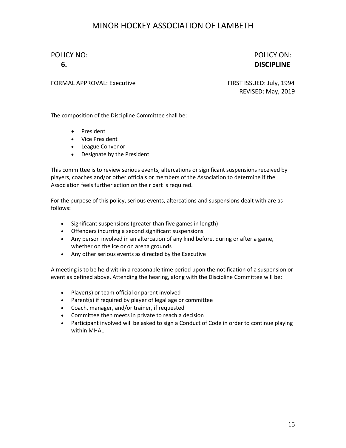#### POLICY NO: POLICY ON: **6. DISCIPLINE**

FORMAL APPROVAL: Executive FIRST ISSUED: July, 1994

REVISED: May, 2019

The composition of the Discipline Committee shall be:

- President
- Vice President
- League Convenor
- Designate by the President

This committee is to review serious events, altercations or significant suspensions received by players, coaches and/or other officials or members of the Association to determine if the Association feels further action on their part is required.

For the purpose of this policy, serious events, altercations and suspensions dealt with are as follows:

- Significant suspensions (greater than five games in length)
- Offenders incurring a second significant suspensions
- Any person involved in an altercation of any kind before, during or after a game, whether on the ice or on arena grounds
- Any other serious events as directed by the Executive

A meeting is to be held within a reasonable time period upon the notification of a suspension or event as defined above. Attending the hearing, along with the Discipline Committee will be:

- Player(s) or team official or parent involved
- Parent(s) if required by player of legal age or committee
- Coach, manager, and/or trainer, if requested
- Committee then meets in private to reach a decision
- Participant involved will be asked to sign a Conduct of Code in order to continue playing within MHAL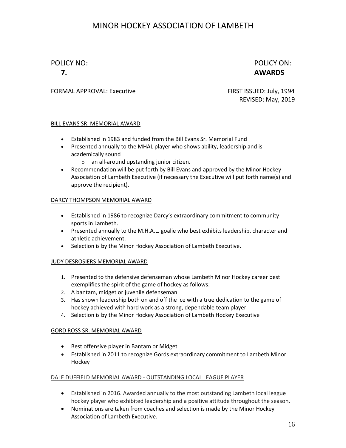#### POLICY NO: POLICY ON: **7. AWARDS**

#### FORMAL APPROVAL: Executive FIRST ISSUED: July, 1994

REVISED: May, 2019

#### BILL EVANS SR. MEMORIAL AWARD

- Established in 1983 and funded from the Bill Evans Sr. Memorial Fund
- Presented annually to the MHAL player who shows ability, leadership and is academically sound
	- o an all-around upstanding junior citizen.
- Recommendation will be put forth by Bill Evans and approved by the Minor Hockey Association of Lambeth Executive (if necessary the Executive will put forth name(s) and approve the recipient).

#### DARCY THOMPSON MEMORIAL AWARD

- Established in 1986 to recognize Darcy's extraordinary commitment to community sports in Lambeth.
- Presented annually to the M.H.A.L. goalie who best exhibits leadership, character and athletic achievement.
- Selection is by the Minor Hockey Association of Lambeth Executive.

#### JUDY DESROSIERS MEMORIAL AWARD

- 1. Presented to the defensive defenseman whose Lambeth Minor Hockey career best exemplifies the spirit of the game of hockey as follows:
- 2. A bantam, midget or juvenile defenseman
- 3. Has shown leadership both on and off the ice with a true dedication to the game of hockey achieved with hard work as a strong, dependable team player
- 4. Selection is by the Minor Hockey Association of Lambeth Hockey Executive

#### GORD ROSS SR. MEMORIAL AWARD

- Best offensive player in Bantam or Midget
- Established in 2011 to recognize Gords extraordinary commitment to Lambeth Minor Hockey

#### DALE DUFFIELD MEMORIAL AWARD - OUTSTANDING LOCAL LEAGUE PLAYER

- Established in 2016. Awarded annually to the most outstanding Lambeth local league hockey player who exhibited leadership and a positive attitude throughout the season.
- Nominations are taken from coaches and selection is made by the Minor Hockey Association of Lambeth Executive.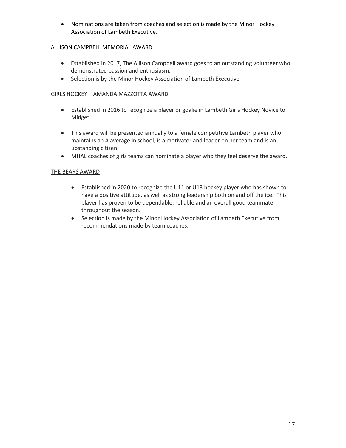• Nominations are taken from coaches and selection is made by the Minor Hockey Association of Lambeth Executive.

#### ALLISON CAMPBELL MEMORIAL AWARD

- Established in 2017, The Allison Campbell award goes to an outstanding volunteer who demonstrated passion and enthusiasm.
- Selection is by the Minor Hockey Association of Lambeth Executive

#### GIRLS HOCKEY – AMANDA MAZZOTTA AWARD

- Established in 2016 to recognize a player or goalie in Lambeth Girls Hockey Novice to Midget.
- This award will be presented annually to a female competitive Lambeth player who maintains an A average in school, is a motivator and leader on her team and is an upstanding citizen.
- MHAL coaches of girls teams can nominate a player who they feel deserve the award.

#### THE BEARS AWARD

- Established in 2020 to recognize the U11 or U13 hockey player who has shown to have a positive attitude, as well as strong leadership both on and off the ice. This player has proven to be dependable, reliable and an overall good teammate throughout the season.
- Selection is made by the Minor Hockey Association of Lambeth Executive from recommendations made by team coaches.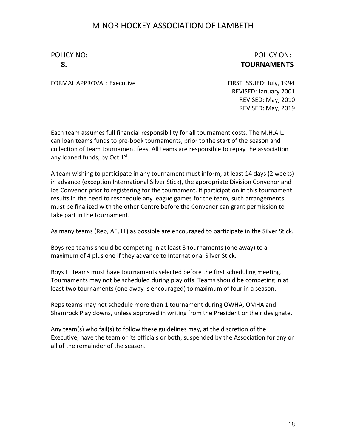#### POLICY NO: POLICY ON: **8. TOURNAMENTS**

FORMAL APPROVAL: Executive FIRST ISSUED: July, 1994

REVISED: January 2001 REVISED: May, 2010 REVISED: May, 2019

Each team assumes full financial responsibility for all tournament costs. The M.H.A.L. can loan teams funds to pre-book tournaments, prior to the start of the season and collection of team tournament fees. All teams are responsible to repay the association any loaned funds, by Oct 1st.

A team wishing to participate in any tournament must inform, at least 14 days (2 weeks) in advance (exception International Silver Stick), the appropriate Division Convenor and Ice Convenor prior to registering for the tournament. If participation in this tournament results in the need to reschedule any league games for the team, such arrangements must be finalized with the other Centre before the Convenor can grant permission to take part in the tournament.

As many teams (Rep, AE, LL) as possible are encouraged to participate in the Silver Stick.

Boys rep teams should be competing in at least 3 tournaments (one away) to a maximum of 4 plus one if they advance to International Silver Stick.

Boys LL teams must have tournaments selected before the first scheduling meeting. Tournaments may not be scheduled during play offs. Teams should be competing in at least two tournaments (one away is encouraged) to maximum of four in a season.

Reps teams may not schedule more than 1 tournament during OWHA, OMHA and Shamrock Play downs, unless approved in writing from the President or their designate.

Any team(s) who fail(s) to follow these guidelines may, at the discretion of the Executive, have the team or its officials or both, suspended by the Association for any or all of the remainder of the season.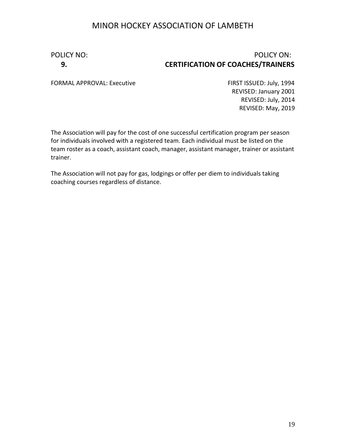#### POLICY NO: POLICY ON: **9. CERTIFICATION OF COACHES/TRAINERS**

FORMAL APPROVAL: Executive FIRST ISSUED: July, 1994

REVISED: January 2001 REVISED: July, 2014 REVISED: May, 2019

The Association will pay for the cost of one successful certification program per season for individuals involved with a registered team. Each individual must be listed on the team roster as a coach, assistant coach, manager, assistant manager, trainer or assistant trainer.

The Association will not pay for gas, lodgings or offer per diem to individuals taking coaching courses regardless of distance.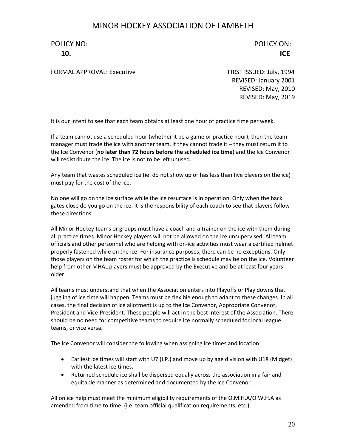POLICY NO: POLICY ON: **10. ICE**

FORMAL APPROVAL: Executive FIRST ISSUED: July, 1994

REVISED: January 2001 REVISED: May, 2010 REVISED: May, 2019

It is our intent to see that each team obtains at least one hour of practice time per week.

If a team cannot use a scheduled hour (whether it be a game or practice hour), then the team manager must trade the ice with another team. If they cannot trade it – they must return it to the Ice Convenor (**no later than 72 hours before the scheduled ice time**) and the Ice Convenor will redistribute the ice. The ice is not to be left unused.

Any team that wastes scheduled ice (ie. do not show up or has less than five players on the ice) must pay for the cost of the ice.

No one will go on the ice surface while the ice resurface is in operation. Only when the back gates close do you go on the ice. It is the responsibility of each coach to see that players follow these directions.

All Minor Hockey teams or groups must have a coach and a trainer on the ice with them during all practice times. Minor Hockey players will not be allowed on the ice unsupervised. All team officials and other personnel who are helping with on-ice activities must wear a certified helmet properly fastened while on the ice. For insurance purposes, there can be no exceptions. Only those players on the team roster for which the practice is schedule may be on the ice. Volunteer help from other MHAL players must be approved by the Executive and be at least four years older.

All teams must understand that when the Association enters into Playoffs or Play downs that juggling of ice time will happen. Teams must be flexible enough to adapt to these changes. In all cases, the final decision of ice allotment is up to the Ice Convenor, Appropriate Convenor, President and Vice-President. These people will act in the best interest of the Association. There should be no need for competitive teams to require ice normally scheduled for local league teams, or vice versa.

The Ice Convenor will consider the following when assigning ice times and location:

- Earliest ice times will start with U7 (I.P.) and move up by age division with U18 (Midget) with the latest ice times.
- Returned schedule ice shall be dispersed equally across the association in a fair and equitable manner as determined and documented by the Ice Convenor.

All on ice help must meet the minimum eligibility requirements of the O.M.H.A/O.W.H.A as amended from time to time. (i.e. team official qualification requirements, etc.)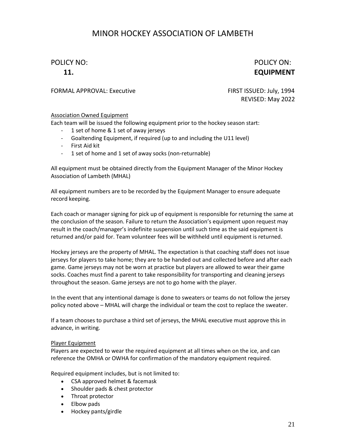POLICY NO: POLICY ON: **11. EQUIPMENT**

FORMAL APPROVAL: Executive FIRST ISSUED: July, 1994

REVISED: May 2022

#### Association Owned Equipment

Each team will be issued the following equipment prior to the hockey season start:

- 1 set of home & 1 set of away jerseys
- Goaltending Equipment, if required (up to and including the U11 level)
- First Aid kit
- 1 set of home and 1 set of away socks (non-returnable)

All equipment must be obtained directly from the Equipment Manager of the Minor Hockey Association of Lambeth (MHAL)

All equipment numbers are to be recorded by the Equipment Manager to ensure adequate record keeping.

Each coach or manager signing for pick up of equipment is responsible for returning the same at the conclusion of the season. Failure to return the Association's equipment upon request may result in the coach/manager's indefinite suspension until such time as the said equipment is returned and/or paid for. Team volunteer fees will be withheld until equipment is returned.

Hockey jerseys are the property of MHAL. The expectation is that coaching staff does not issue jerseys for players to take home; they are to be handed out and collected before and after each game. Game jerseys may not be worn at practice but players are allowed to wear their game socks. Coaches must find a parent to take responsibility for transporting and cleaning jerseys throughout the season. Game jerseys are not to go home with the player.

In the event that any intentional damage is done to sweaters or teams do not follow the jersey policy noted above – MHAL will charge the individual or team the cost to replace the sweater.

If a team chooses to purchase a third set of jerseys, the MHAL executive must approve this in advance, in writing.

#### Player Equipment

Players are expected to wear the required equipment at all times when on the ice, and can reference the OMHA or OWHA for confirmation of the mandatory equipment required.

Required equipment includes, but is not limited to:

- CSA approved helmet & facemask
- Shoulder pads & chest protector
- Throat protector
- Elbow pads
- Hockey pants/girdle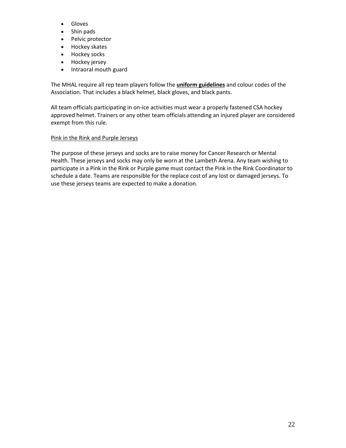- Gloves
- Shin pads
- Pelvic protector
- Hockey skates
- Hockey socks
- Hockey jersey
- Intraoral mouth guard

The MHAL require all rep team players follow the **uniform guidelines** and colour codes of the Association. That includes a black helmet, black gloves, and black pants.

All team officials participating in on-ice activities must wear a properly fastened CSA hockey approved helmet. Trainers or any other team officials attending an injured player are considered exempt from this rule.

#### Pink in the Rink and Purple Jerseys

The purpose of these jerseys and socks are to raise money for Cancer Research or Mental Health. These jerseys and socks may only be worn at the Lambeth Arena. Any team wishing to participate in a Pink in the Rink or Purple game must contact the Pink in the Rink Coordinator to schedule a date. Teams are responsible for the replace cost of any lost or damaged jerseys. To use these jerseys teams are expected to make a donation.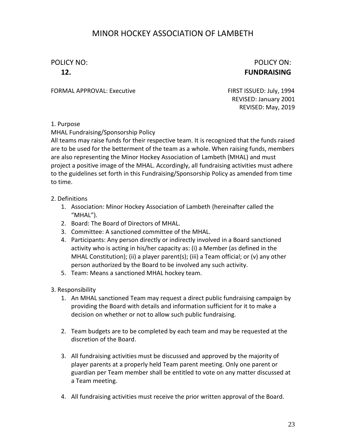POLICY NO: POLICY ON: **12. FUNDRAISING**

FORMAL APPROVAL: Executive FIRST ISSUED: July, 1994

REVISED: January 2001 REVISED: May, 2019

1. Purpose

MHAL Fundraising/Sponsorship Policy

All teams may raise funds for their respective team. It is recognized that the funds raised are to be used for the betterment of the team as a whole. When raising funds, members are also representing the Minor Hockey Association of Lambeth (MHAL) and must project a positive image of the MHAL. Accordingly, all fundraising activities must adhere to the guidelines set forth in this Fundraising/Sponsorship Policy as amended from time to time.

- 2. Definitions
	- 1. Association: Minor Hockey Association of Lambeth (hereinafter called the "MHAL").
	- 2. Board: The Board of Directors of MHAL.
	- 3. Committee: A sanctioned committee of the MHAL.
	- 4. Participants: Any person directly or indirectly involved in a Board sanctioned activity who is acting in his/her capacity as: (i) a Member (as defined in the MHAL Constitution); (ii) a player parent(s); (iii) a Team official; or (v) any other person authorized by the Board to be involved any such activity.
	- 5. Team: Means a sanctioned MHAL hockey team.
- 3. Responsibility
	- 1. An MHAL sanctioned Team may request a direct public fundraising campaign by providing the Board with details and information sufficient for it to make a decision on whether or not to allow such public fundraising.
	- 2. Team budgets are to be completed by each team and may be requested at the discretion of the Board.
	- 3. All fundraising activities must be discussed and approved by the majority of player parents at a properly held Team parent meeting. Only one parent or guardian per Team member shall be entitled to vote on any matter discussed at a Team meeting.
	- 4. All fundraising activities must receive the prior written approval of the Board.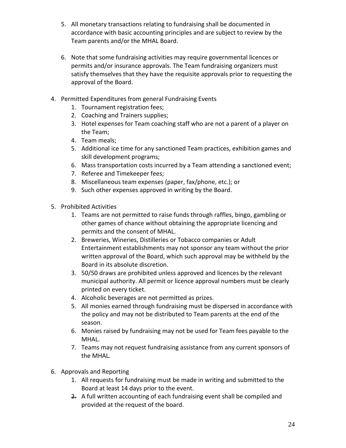- 5. All monetary transactions relating to fundraising shall be documented in accordance with basic accounting principles and are subject to review by the Team parents and/or the MHAL Board.
- 6. Note that some fundraising activities may require governmental licences or permits and/or insurance approvals. The Team fundraising organizers must satisfy themselves that they have the requisite approvals prior to requesting the approval of the Board.
- 4. Permitted Expenditures from general Fundraising Events
	- 1. Tournament registration fees;
	- 2. Coaching and Trainers supplies;
	- 3. Hotel expenses for Team coaching staff who are not a parent of a player on the Team;
	- 4. Team meals;
	- 5. Additional ice time for any sanctioned Team practices, exhibition games and skill development programs;
	- 6. Mass transportation costs incurred by a Team attending a sanctioned event;
	- 7. Referee and Timekeeper fees;
	- 8. Miscellaneous team expenses (paper, fax/phone, etc.); or
	- 9. Such other expenses approved in writing by the Board.
- 5. Prohibited Activities
	- 1. Teams are not permitted to raise funds through raffles, bingo, gambling or other games of chance without obtaining the appropriate licencing and permits and the consent of MHAL.
	- 2. Breweries, Wineries, Distilleries or Tobacco companies or Adult Entertainment establishments may not sponsor any team without the prior written approval of the Board, which such approval may be withheld by the Board in its absolute discretion.
	- 3. 50/50 draws are prohibited unless approved and licences by the relevant municipal authority. All permit or licence approval numbers must be clearly printed on every ticket.
	- 4. Alcoholic beverages are not permitted as prizes.
	- 5. All monies earned through fundraising must be dispersed in accordance with the policy and may not be distributed to Team parents at the end of the season.
	- 6. Monies raised by fundraising may not be used for Team fees payable to the MHAL.
	- 7. Teams may not request fundraising assistance from any current sponsors of the MHAL.
- 6. Approvals and Reporting
	- 1. All requests for fundraising must be made in writing and submitted to the Board at least 14 days prior to the event.
	- 2. A full written accounting of each fundraising event shall be compiled and provided at the request of the board.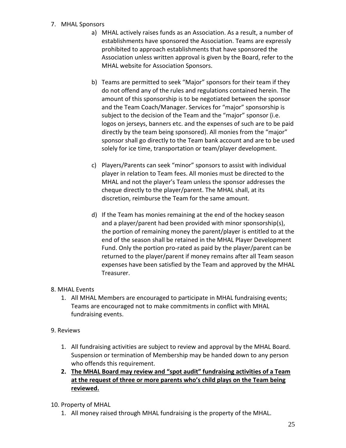#### 7. MHAL Sponsors

- a) MHAL actively raises funds as an Association. As a result, a number of establishments have sponsored the Association. Teams are expressly prohibited to approach establishments that have sponsored the Association unless written approval is given by the Board, refer to the MHAL website for Association Sponsors.
- b) Teams are permitted to seek "Major" sponsors for their team if they do not offend any of the rules and regulations contained herein. The amount of this sponsorship is to be negotiated between the sponsor and the Team Coach/Manager. Services for "major" sponsorship is subject to the decision of the Team and the "major" sponsor (i.e. logos on jerseys, banners etc. and the expenses of such are to be paid directly by the team being sponsored). All monies from the "major" sponsor shall go directly to the Team bank account and are to be used solely for ice time, transportation or team/player development.
- c) Players/Parents can seek "minor" sponsors to assist with individual player in relation to Team fees. All monies must be directed to the MHAL and not the player's Team unless the sponsor addresses the cheque directly to the player/parent. The MHAL shall, at its discretion, reimburse the Team for the same amount.
- d) If the Team has monies remaining at the end of the hockey season and a player/parent had been provided with minor sponsorship(s), the portion of remaining money the parent/player is entitled to at the end of the season shall be retained in the MHAL Player Development Fund. Only the portion pro-rated as paid by the player/parent can be returned to the player/parent if money remains after all Team season expenses have been satisfied by the Team and approved by the MHAL Treasurer.

#### 8. MHAL Events

1. All MHAL Members are encouraged to participate in MHAL fundraising events; Teams are encouraged not to make commitments in conflict with MHAL fundraising events.

#### 9. Reviews

- 1. All fundraising activities are subject to review and approval by the MHAL Board. Suspension or termination of Membership may be handed down to any person who offends this requirement.
- **2. The MHAL Board may review and "spot audit" fundraising activities of a Team at the request of three or more parents who's child plays on the Team being reviewed.**
- 10. Property of MHAL
	- 1. All money raised through MHAL fundraising is the property of the MHAL.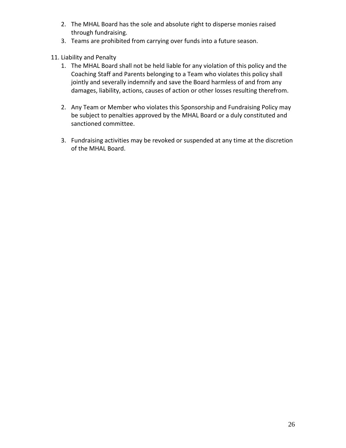- 2. The MHAL Board has the sole and absolute right to disperse monies raised through fundraising.
- 3. Teams are prohibited from carrying over funds into a future season.
- 11. Liability and Penalty
	- 1. The MHAL Board shall not be held liable for any violation of this policy and the Coaching Staff and Parents belonging to a Team who violates this policy shall jointly and severally indemnify and save the Board harmless of and from any damages, liability, actions, causes of action or other losses resulting therefrom.
	- 2. Any Team or Member who violates this Sponsorship and Fundraising Policy may be subject to penalties approved by the MHAL Board or a duly constituted and sanctioned committee.
	- 3. Fundraising activities may be revoked or suspended at any time at the discretion of the MHAL Board.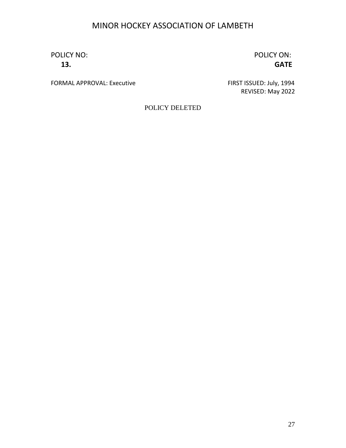POLICY NO: POLICY ON:

**13. GATE**

FORMAL APPROVAL: Executive FIRST ISSUED: July, 1994

REVISED: May 2022

POLICY DELETED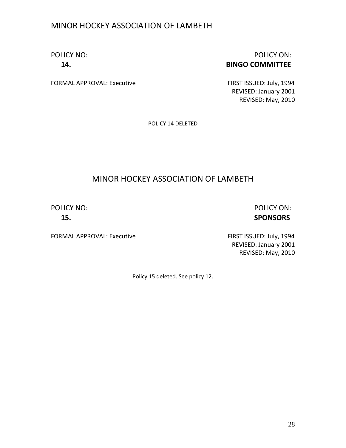#### POLICY NO: POLICY ON: **14. BINGO COMMITTEE**

FORMAL APPROVAL: Executive FIRST ISSUED: July, 1994

REVISED: January 2001 REVISED: May, 2010

POLICY 14 DELETED

#### MINOR HOCKEY ASSOCIATION OF LAMBETH

POLICY NO: POLICY ON: **15. SPONSORS**

FORMAL APPROVAL: Executive FIRST ISSUED: July, 1994

REVISED: January 2001 REVISED: May, 2010

Policy 15 deleted. See policy 12.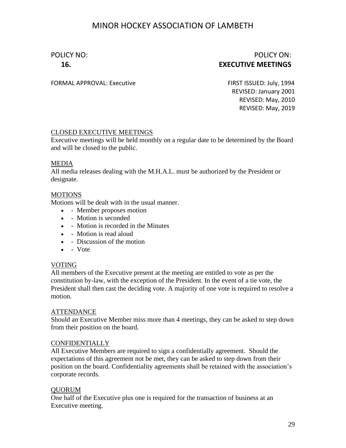#### POLICY NO: POLICY ON: **16. EXECUTIVE MEETINGS**

FORMAL APPROVAL: Executive FIRST ISSUED: July, 1994

REVISED: January 2001 REVISED: May, 2010 REVISED: May, 2019

#### CLOSED EXECUTIVE MEETINGS

Executive meetings will be held monthly on a regular date to be determined by the Board and will be closed to the public.

#### MEDIA

All media releases dealing with the M.H.A.L. must be authorized by the President or designate.

#### MOTIONS

Motions will be dealt with in the usual manner.

- - Member proposes motion
- - Motion is seconded
- - Motion is recorded in the Minutes
- - Motion is read aloud
- - Discussion of the motion
- - Vote

#### VOTING

All members of the Executive present at the meeting are entitled to vote as per the constitution by-law, with the exception of the President. In the event of a tie vote, the President shall then cast the deciding vote. A majority of one vote is required to resolve a motion.

#### **ATTENDANCE**

Should an Executive Member miss more than 4 meetings, they can be asked to step down from their position on the board.

#### CONFIDENTIALLY

All Executive Members are required to sign a confidentially agreement. Should the expectations of this agreement not be met, they can be asked to step down from their position on the board. Confidentiality agreements shall be retained with the association's corporate records.

#### QUORUM

One half of the Executive plus one is required for the transaction of business at an Executive meeting.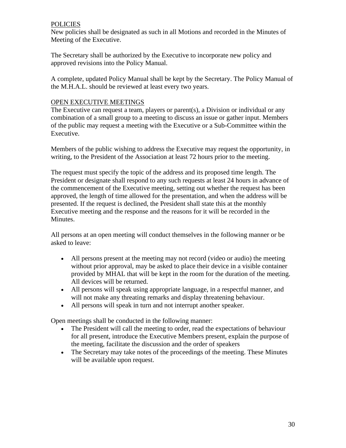#### **POLICIES**

New policies shall be designated as such in all Motions and recorded in the Minutes of Meeting of the Executive.

The Secretary shall be authorized by the Executive to incorporate new policy and approved revisions into the Policy Manual.

A complete, updated Policy Manual shall be kept by the Secretary. The Policy Manual of the M.H.A.L. should be reviewed at least every two years.

#### OPEN EXECUTIVE MEETINGS

The Executive can request a team, players or parent(s), a Division or individual or any combination of a small group to a meeting to discuss an issue or gather input. Members of the public may request a meeting with the Executive or a Sub-Committee within the Executive.

Members of the public wishing to address the Executive may request the opportunity, in writing, to the President of the Association at least 72 hours prior to the meeting.

The request must specify the topic of the address and its proposed time length. The President or designate shall respond to any such requests at least 24 hours in advance of the commencement of the Executive meeting, setting out whether the request has been approved, the length of time allowed for the presentation, and when the address will be presented. If the request is declined, the President shall state this at the monthly Executive meeting and the response and the reasons for it will be recorded in the Minutes.

All persons at an open meeting will conduct themselves in the following manner or be asked to leave:

- All persons present at the meeting may not record (video or audio) the meeting without prior approval, may be asked to place their device in a visible container provided by MHAL that will be kept in the room for the duration of the meeting. All devices will be returned.
- All persons will speak using appropriate language, in a respectful manner, and will not make any threating remarks and display threatening behaviour.
- All persons will speak in turn and not interrupt another speaker.

Open meetings shall be conducted in the following manner:

- The President will call the meeting to order, read the expectations of behaviour for all present, introduce the Executive Members present, explain the purpose of the meeting, facilitate the discussion and the order of speakers
- The Secretary may take notes of the proceedings of the meeting. These Minutes will be available upon request.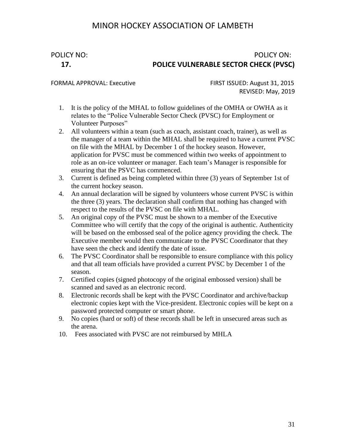#### POLICY NO: POLICY ON: **17. POLICE VULNERABLE SECTOR CHECK (PVSC)**

FORMAL APPROVAL: Executive FIRST ISSUED: August 31, 2015 REVISED: May, 2019

- 1. It is the policy of the MHAL to follow guidelines of the OMHA or OWHA as it relates to the "Police Vulnerable Sector Check (PVSC) for Employment or Volunteer Purposes"
- 2. All volunteers within a team (such as coach, assistant coach, trainer), as well as the manager of a team within the MHAL shall be required to have a current PVSC on file with the MHAL by December 1 of the hockey season. However, application for PVSC must be commenced within two weeks of appointment to role as an on-ice volunteer or manager. Each team's Manager is responsible for ensuring that the PSVC has commenced.
- 3. Current is defined as being completed within three (3) years of September 1st of the current hockey season.
- 4. An annual declaration will be signed by volunteers whose current PVSC is within the three (3) years. The declaration shall confirm that nothing has changed with respect to the results of the PVSC on file with MHAL.
- 5. An original copy of the PVSC must be shown to a member of the Executive Committee who will certify that the copy of the original is authentic. Authenticity will be based on the embossed seal of the police agency providing the check. The Executive member would then communicate to the PVSC Coordinator that they have seen the check and identify the date of issue.
- 6. The PVSC Coordinator shall be responsible to ensure compliance with this policy and that all team officials have provided a current PVSC by December 1 of the season.
- 7. Certified copies (signed photocopy of the original embossed version) shall be scanned and saved as an electronic record.
- 8. Electronic records shall be kept with the PVSC Coordinator and archive/backup electronic copies kept with the Vice-president. Electronic copies will be kept on a password protected computer or smart phone.
- 9. No copies (hard or soft) of these records shall be left in unsecured areas such as the arena.
- 10. Fees associated with PVSC are not reimbursed by MHLA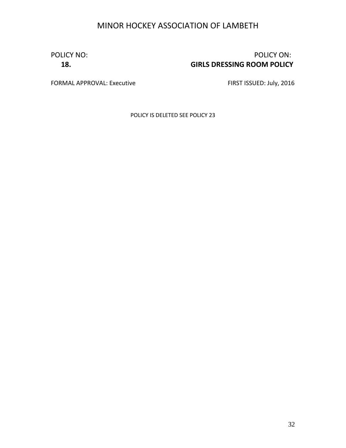#### POLICY NO: POLICY ON: **18. GIRLS DRESSING ROOM POLICY**

FORMAL APPROVAL: Executive FIRST ISSUED: July, 2016

POLICY IS DELETED SEE POLICY 23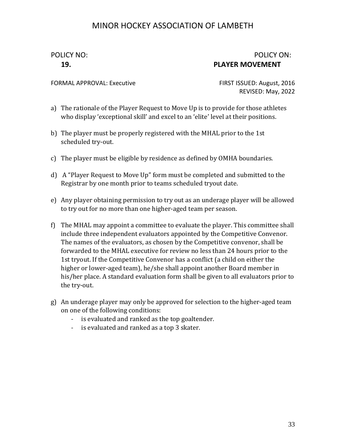#### POLICY NO: POLICY ON: **19. PLAYER MOVEMENT**

FORMAL APPROVAL: Executive FIRST ISSUED: August, 2016

REVISED: May, 2022

- a) The rationale of the Player Request to Move Up is to provide for those athletes who display 'exceptional skill' and excel to an 'elite' level at their positions.
- b) The player must be properly registered with the MHAL prior to the 1st scheduled try-out.
- c) The player must be eligible by residence as defined by OMHA boundaries.
- d) A "Player Request to Move Up" form must be completed and submitted to the Registrar by one month prior to teams scheduled tryout date.
- e) Any player obtaining permission to try out as an underage player will be allowed to try out for no more than one higher-aged team per season.
- f) The MHAL may appoint a committee to evaluate the player. This committee shall include three independent evaluators appointed by the Competitive Convenor. The names of the evaluators, as chosen by the Competitive convenor, shall be forwarded to the MHAL executive for review no less than 24 hours prior to the 1st tryout. If the Competitive Convenor has a conflict (a child on either the higher or lower-aged team), he/she shall appoint another Board member in his/her place. A standard evaluation form shall be given to all evaluators prior to the try-out.
- g) An underage player may only be approved for selection to the higher-aged team on one of the following conditions:
	- is evaluated and ranked as the top goaltender.
	- is evaluated and ranked as a top 3 skater.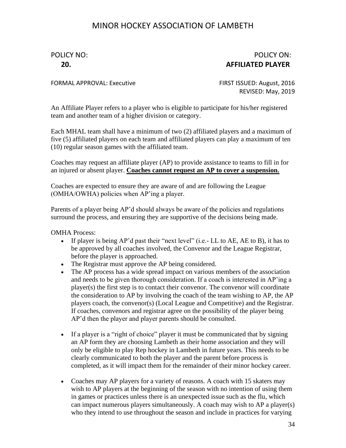#### POLICY NO: POLICY ON: **20. AFFILIATED PLAYER**

FORMAL APPROVAL: Executive FIRST ISSUED: August, 2016

REVISED: May, 2019

An Affiliate Player refers to a player who is eligible to participate for his/her registered team and another team of a higher division or category.

Each MHAL team shall have a minimum of two (2) affiliated players and a maximum of five (5) affiliated players on each team and affiliated players can play a maximum of ten (10) regular season games with the affiliated team.

Coaches may request an affiliate player (AP) to provide assistance to teams to fill in for an injured or absent player. **Coaches cannot request an AP to cover a suspension.**

Coaches are expected to ensure they are aware of and are following the League (OMHA/OWHA) policies when AP'ing a player.

Parents of a player being AP'd should always be aware of the policies and regulations surround the process, and ensuring they are supportive of the decisions being made.

OMHA Process:

- If player is being AP'd past their "next level" (i.e.- LL to AE, AE to B), it has to be approved by all coaches involved, the Convenor and the League Registrar, before the player is approached.
- The Registrar must approve the AP being considered.
- The AP process has a wide spread impact on various members of the association and needs to be given thorough consideration. If a coach is interested in AP'ing a player(s) the first step is to contact their convenor. The convenor will coordinate the consideration to AP by involving the coach of the team wishing to AP, the AP players coach, the convenor(s) (Local League and Competitive) and the Registrar. If coaches, convenors and registrar agree on the possibility of the player being AP'd then the player and player parents should be consulted.
- If a player is a "right of choice" player it must be communicated that by signing an AP form they are choosing Lambeth as their home association and they will only be eligible to play Rep hockey in Lambeth in future years. This needs to be clearly communicated to both the player and the parent before process is completed, as it will impact them for the remainder of their minor hockey career.
- Coaches may AP players for a variety of reasons. A coach with 15 skaters may wish to AP players at the beginning of the season with no intention of using them in games or practices unless there is an unexpected issue such as the flu, which can impact numerous players simultaneously. A coach may wish to AP a player(s) who they intend to use throughout the season and include in practices for varying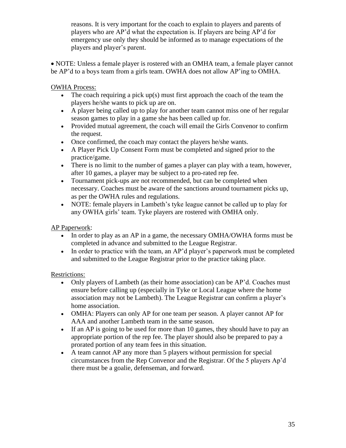reasons. It is very important for the coach to explain to players and parents of players who are AP'd what the expectation is. If players are being AP'd for emergency use only they should be informed as to manage expectations of the players and player's parent.

• NOTE: Unless a female player is rostered with an OMHA team, a female player cannot be AP'd to a boys team from a girls team. OWHA does not allow AP'ing to OMHA.

OWHA Process:

- The coach requiring a pick up(s) must first approach the coach of the team the players he/she wants to pick up are on.
- A player being called up to play for another team cannot miss one of her regular season games to play in a game she has been called up for.
- Provided mutual agreement, the coach will email the Girls Convenor to confirm the request.
- Once confirmed, the coach may contact the players he/she wants.
- A Player Pick Up Consent Form must be completed and signed prior to the practice/game.
- There is no limit to the number of games a player can play with a team, however, after 10 games, a player may be subject to a pro-rated rep fee.
- Tournament pick-ups are not recommended, but can be completed when necessary. Coaches must be aware of the sanctions around tournament picks up, as per the OWHA rules and regulations.
- NOTE: female players in Lambeth's tyke league cannot be called up to play for any OWHA girls' team. Tyke players are rostered with OMHA only.

AP Paperwork:

- In order to play as an AP in a game, the necessary OMHA/OWHA forms must be completed in advance and submitted to the League Registrar.
- In order to practice with the team, an AP'd player's paperwork must be completed and submitted to the League Registrar prior to the practice taking place.

Restrictions:

- Only players of Lambeth (as their home association) can be AP'd. Coaches must ensure before calling up (especially in Tyke or Local League where the home association may not be Lambeth). The League Registrar can confirm a player's home association.
- OMHA: Players can only AP for one team per season. A player cannot AP for AAA and another Lambeth team in the same season.
- If an AP is going to be used for more than 10 games, they should have to pay an appropriate portion of the rep fee. The player should also be prepared to pay a prorated portion of any team fees in this situation.
- A team cannot AP any more than 5 players without permission for special circumstances from the Rep Convenor and the Registrar. Of the 5 players Ap'd there must be a goalie, defenseman, and forward.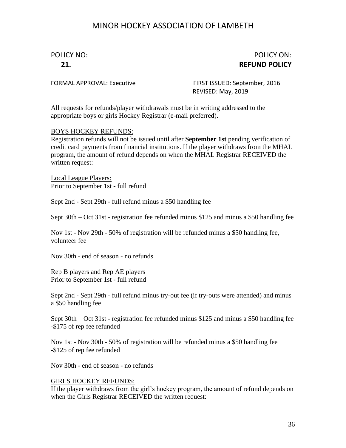#### POLICY NO: POLICY ON: **21. REFUND POLICY**

FORMAL APPROVAL: Executive FIRST ISSUED: September, 2016 REVISED: May, 2019

All requests for refunds/player withdrawals must be in writing addressed to the appropriate boys or girls Hockey Registrar (e-mail preferred).

#### BOYS HOCKEY REFUNDS:

Registration refunds will not be issued until after **September 1st** pending verification of credit card payments from financial institutions. If the player withdraws from the MHAL program, the amount of refund depends on when the MHAL Registrar RECEIVED the written request:

Local League Players: Prior to September 1st - full refund

Sept 2nd - Sept 29th - full refund minus a \$50 handling fee

Sept 30th – Oct 31st - registration fee refunded minus \$125 and minus a \$50 handling fee

Nov 1st - Nov 29th - 50% of registration will be refunded minus a \$50 handling fee, volunteer fee

Nov 30th - end of season - no refunds

Rep B players and Rep AE players Prior to September 1st - full refund

Sept 2nd - Sept 29th - full refund minus try-out fee (if try-outs were attended) and minus a \$50 handling fee

Sept 30th – Oct 31st - registration fee refunded minus \$125 and minus a \$50 handling fee -\$175 of rep fee refunded

Nov 1st - Nov 30th - 50% of registration will be refunded minus a \$50 handling fee -\$125 of rep fee refunded

Nov 30th - end of season - no refunds

#### GIRLS HOCKEY REFUNDS:

If the player withdraws from the girl's hockey program, the amount of refund depends on when the Girls Registrar RECEIVED the written request: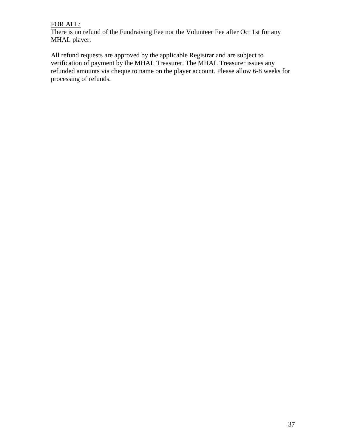#### FOR ALL:

There is no refund of the Fundraising Fee nor the Volunteer Fee after Oct 1st for any MHAL player.

All refund requests are approved by the applicable Registrar and are subject to verification of payment by the MHAL Treasurer. The MHAL Treasurer issues any refunded amounts via cheque to name on the player account. Please allow 6-8 weeks for processing of refunds.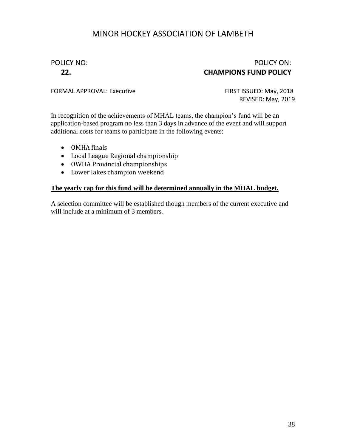#### POLICY NO: POLICY ON: **22. CHAMPIONS FUND POLICY**

FORMAL APPROVAL: Executive FIRST ISSUED: May, 2018

REVISED: May, 2019

In recognition of the achievements of MHAL teams, the champion's fund will be an application-based program no less than 3 days in advance of the event and will support additional costs for teams to participate in the following events:

- OMHA finals
- Local League Regional championship
- OWHA Provincial championships
- Lower lakes champion weekend

#### **The yearly cap for this fund will be determined annually in the MHAL budget.**

A selection committee will be established though members of the current executive and will include at a minimum of 3 members.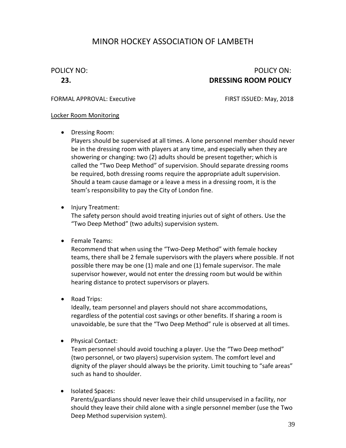#### POLICY NO: POLICY ON: **23. DRESSING ROOM POLICY**

#### FORMAL APPROVAL: Executive FIRST ISSUED: May, 2018

#### Locker Room Monitoring

• Dressing Room:

Players should be supervised at all times. A lone personnel member should never be in the dressing room with players at any time, and especially when they are showering or changing: two (2) adults should be present together; which is called the "Two Deep Method" of supervision. Should separate dressing rooms be required, both dressing rooms require the appropriate adult supervision. Should a team cause damage or a leave a mess in a dressing room, it is the team's responsibility to pay the City of London fine.

• Injury Treatment:

The safety person should avoid treating injuries out of sight of others. Use the "Two Deep Method" (two adults) supervision system.

• Female Teams:

Recommend that when using the "Two-Deep Method" with female hockey teams, there shall be 2 female supervisors with the players where possible. If not possible there may be one (1) male and one (1) female supervisor. The male supervisor however, would not enter the dressing room but would be within hearing distance to protect supervisors or players.

• Road Trips:

Ideally, team personnel and players should not share accommodations, regardless of the potential cost savings or other benefits. If sharing a room is unavoidable, be sure that the "Two Deep Method" rule is observed at all times.

• Physical Contact:

Team personnel should avoid touching a player. Use the "Two Deep method" (two personnel, or two players) supervision system. The comfort level and dignity of the player should always be the priority. Limit touching to "safe areas" such as hand to shoulder.

• Isolated Spaces:

Parents/guardians should never leave their child unsupervised in a facility, nor should they leave their child alone with a single personnel member (use the Two Deep Method supervision system).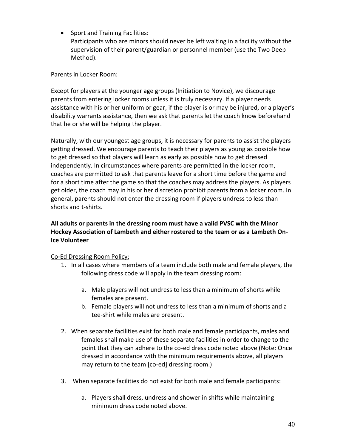• Sport and Training Facilities:

Participants who are minors should never be left waiting in a facility without the supervision of their parent/guardian or personnel member (use the Two Deep Method).

Parents in Locker Room:

Except for players at the younger age groups (Initiation to Novice), we discourage parents from entering locker rooms unless it is truly necessary. If a player needs assistance with his or her uniform or gear, if the player is or may be injured, or a player's disability warrants assistance, then we ask that parents let the coach know beforehand that he or she will be helping the player.

Naturally, with our youngest age groups, it is necessary for parents to assist the players getting dressed. We encourage parents to teach their players as young as possible how to get dressed so that players will learn as early as possible how to get dressed independently. In circumstances where parents are permitted in the locker room, coaches are permitted to ask that parents leave for a short time before the game and for a short time after the game so that the coaches may address the players. As players get older, the coach may in his or her discretion prohibit parents from a locker room. In general, parents should not enter the dressing room if players undress to less than shorts and t-shirts.

#### **All adults or parents in the dressing room must have a valid PVSC with the Minor Hockey Association of Lambeth and either rostered to the team or as a Lambeth On-Ice Volunteer**

#### Co-Ed Dressing Room Policy:

- 1. In all cases where members of a team include both male and female players, the following dress code will apply in the team dressing room:
	- a. Male players will not undress to less than a minimum of shorts while females are present.
	- b. Female players will not undress to less than a minimum of shorts and a tee-shirt while males are present.
- 2. When separate facilities exist for both male and female participants, males and females shall make use of these separate facilities in order to change to the point that they can adhere to the co-ed dress code noted above (Note: Once dressed in accordance with the minimum requirements above, all players may return to the team [co-ed] dressing room.)
- 3. When separate facilities do not exist for both male and female participants:
	- a. Players shall dress, undress and shower in shifts while maintaining minimum dress code noted above.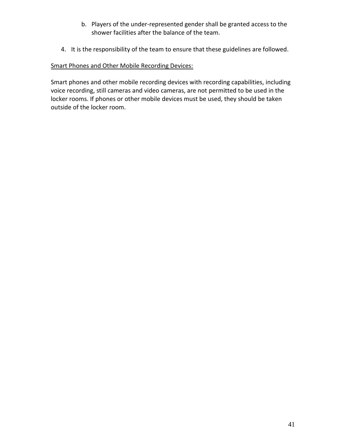- b. Players of the under-represented gender shall be granted access to the shower facilities after the balance of the team.
- 4. It is the responsibility of the team to ensure that these guidelines are followed.

#### Smart Phones and Other Mobile Recording Devices:

Smart phones and other mobile recording devices with recording capabilities, including voice recording, still cameras and video cameras, are not permitted to be used in the locker rooms. If phones or other mobile devices must be used, they should be taken outside of the locker room.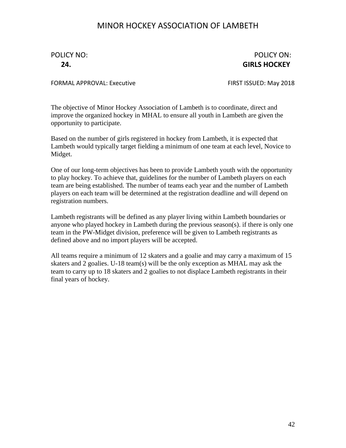POLICY NO: POLICY ON: **24. GIRLS HOCKEY**

FORMAL APPROVAL: Executive FIRST ISSUED: May 2018

The objective of Minor Hockey Association of Lambeth is to coordinate, direct and improve the organized hockey in MHAL to ensure all youth in Lambeth are given the opportunity to participate.

Based on the number of girls registered in hockey from Lambeth, it is expected that Lambeth would typically target fielding a minimum of one team at each level, Novice to Midget.

One of our long-term objectives has been to provide Lambeth youth with the opportunity to play hockey. To achieve that, guidelines for the number of Lambeth players on each team are being established. The number of teams each year and the number of Lambeth players on each team will be determined at the registration deadline and will depend on registration numbers.

Lambeth registrants will be defined as any player living within Lambeth boundaries or anyone who played hockey in Lambeth during the previous season(s). if there is only one team in the PW-Midget division, preference will be given to Lambeth registrants as defined above and no import players will be accepted.

All teams require a minimum of 12 skaters and a goalie and may carry a maximum of 15 skaters and 2 goalies. U-18 team(s) will be the only exception as MHAL may ask the team to carry up to 18 skaters and 2 goalies to not displace Lambeth registrants in their final years of hockey.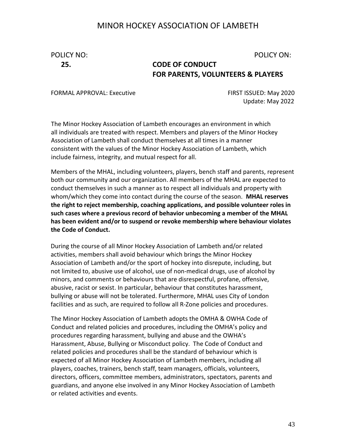## POLICY NO: POLICY ON:

## **25. CODE OF CONDUCT FOR PARENTS, VOLUNTEERS & PLAYERS**

FORMAL APPROVAL: Executive FIRST ISSUED: May 2020

Update: May 2022

The Minor Hockey Association of Lambeth encourages an environment in which all individuals are treated with respect. Members and players of the Minor Hockey Association of Lambeth shall conduct themselves at all times in a manner consistent with the values of the Minor Hockey Association of Lambeth, which include fairness, integrity, and mutual respect for all.

Members of the MHAL, including volunteers, players, bench staff and parents, represent both our community and our organization. All members of the MHAL are expected to conduct themselves in such a manner as to respect all individuals and property with whom/which they come into contact during the course of the season. **MHAL reserves the right to reject membership, coaching applications, and possible volunteer roles in such cases where a previous record of behavior unbecoming a member of the MHAL has been evident and/or to suspend or revoke membership where behaviour violates the Code of Conduct.**

During the course of all Minor Hockey Association of Lambeth and/or related activities, members shall avoid behaviour which brings the Minor Hockey Association of Lambeth and/or the sport of hockey into disrepute, including, but not limited to, abusive use of alcohol, use of non‐medical drugs, use of alcohol by minors, and comments or behaviours that are disrespectful, profane, offensive, abusive, racist or sexist. In particular, behaviour that constitutes harassment, bullying or abuse will not be tolerated. Furthermore, MHAL uses City of London facilities and as such, are required to follow all R-Zone policies and procedures.

The Minor Hockey Association of Lambeth adopts the OMHA & OWHA Code of Conduct and related policies and procedures, including the OMHA's policy and procedures regarding harassment, bullying and abuse and the OWHA's Harassment, Abuse, Bullying or Misconduct policy. The Code of Conduct and related policies and procedures shall be the standard of behaviour which is expected of all Minor Hockey Association of Lambeth members, including all players, coaches, trainers, bench staff, team managers, officials, volunteers, directors, officers, committee members, administrators, spectators, parents and guardians, and anyone else involved in any Minor Hockey Association of Lambeth or related activities and events.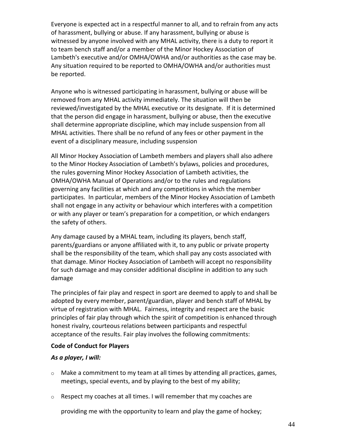Everyone is expected act in a respectful manner to all, and to refrain from any acts of harassment, bullying or abuse. If any harassment, bullying or abuse is witnessed by anyone involved with any MHAL activity, there is a duty to report it to team bench staff and/or a member of the Minor Hockey Association of Lambeth's executive and/or OMHA/OWHA and/or authorities as the case may be. Any situation required to be reported to OMHA/OWHA and/or authorities must be reported.

Anyone who is witnessed participating in harassment, bullying or abuse will be removed from any MHAL activity immediately. The situation will then be reviewed/investigated by the MHAL executive or its designate. If it is determined that the person did engage in harassment, bullying or abuse, then the executive shall determine appropriate discipline, which may include suspension from all MHAL activities. There shall be no refund of any fees or other payment in the event of a disciplinary measure, including suspension

All Minor Hockey Association of Lambeth members and players shall also adhere to the Minor Hockey Association of Lambeth's bylaws, policies and procedures, the rules governing Minor Hockey Association of Lambeth activities, the OMHA/OWHA Manual of Operations and/or to the rules and regulations governing any facilities at which and any competitions in which the member participates. In particular, members of the Minor Hockey Association of Lambeth shall not engage in any activity or behaviour which interferes with a competition or with any player or team's preparation for a competition, or which endangers the safety of others.

Any damage caused by a MHAL team, including its players, bench staff, parents/guardians or anyone affiliated with it, to any public or private property shall be the responsibility of the team, which shall pay any costs associated with that damage. Minor Hockey Association of Lambeth will accept no responsibility for such damage and may consider additional discipline in addition to any such damage

The principles of fair play and respect in sport are deemed to apply to and shall be adopted by every member, parent/guardian, player and bench staff of MHAL by virtue of registration with MHAL. Fairness, integrity and respect are the basic principles of fair play through which the spirit of competition is enhanced through honest rivalry, courteous relations between participants and respectful acceptance of the results. Fair play involves the following commitments:

#### **Code of Conduct for Players**

#### *As a player, I will:*

- $\circ$  Make a commitment to my team at all times by attending all practices, games, meetings, special events, and by playing to the best of my ability;
- $\circ$  Respect my coaches at all times. I will remember that my coaches are

providing me with the opportunity to learn and play the game of hockey;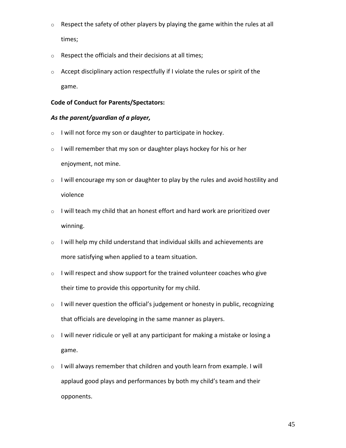- $\circ$  Respect the safety of other players by playing the game within the rules at all times;
- $\circ$  Respect the officials and their decisions at all times;
- o Accept disciplinary action respectfully if I violate the rules or spirit of the game.

#### **Code of Conduct for Parents/Spectators:**

#### *As the parent/guardian of a player,*

- o I will not force my son or daughter to participate in hockey.
- $\circ$  I will remember that my son or daughter plays hockey for his or her enjoyment, not mine.
- $\circ$  I will encourage my son or daughter to play by the rules and avoid hostility and violence
- o I will teach my child that an honest effort and hard work are prioritized over winning.
- $\circ$  I will help my child understand that individual skills and achievements are more satisfying when applied to a team situation.
- $\circ$  I will respect and show support for the trained volunteer coaches who give their time to provide this opportunity for my child.
- $\circ$  I will never question the official's judgement or honesty in public, recognizing that officials are developing in the same manner as players.
- $\circ$  I will never ridicule or yell at any participant for making a mistake or losing a game.
- $\circ$  I will always remember that children and youth learn from example. I will applaud good plays and performances by both my child's team and their opponents.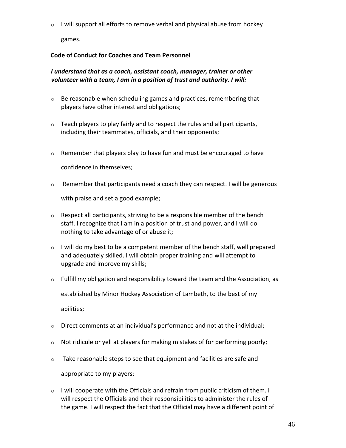$\circ$  I will support all efforts to remove verbal and physical abuse from hockey

games.

#### **Code of Conduct for Coaches and Team Personnel**

#### *I understand that as a coach, assistant coach, manager, trainer or other volunteer with a team, I am in a position of trust and authority. I will:*

- $\circ$  Be reasonable when scheduling games and practices, remembering that players have other interest and obligations;
- $\circ$  Teach players to play fairly and to respect the rules and all participants, including their teammates, officials, and their opponents;
- $\circ$  Remember that players play to have fun and must be encouraged to have

confidence in themselves;

- o Remember that participants need a coach they can respect. I will be generous with praise and set a good example;
- $\circ$  Respect all participants, striving to be a responsible member of the bench staff. I recognize that I am in a position of trust and power, and I will do nothing to take advantage of or abuse it;
- $\circ$  I will do my best to be a competent member of the bench staff, well prepared and adequately skilled. I will obtain proper training and will attempt to upgrade and improve my skills;
- $\circ$  Fulfill my obligation and responsibility toward the team and the Association, as established by Minor Hockey Association of Lambeth, to the best of my

abilities;

- $\circ$  Direct comments at an individual's performance and not at the individual;
- $\circ$  Not ridicule or yell at players for making mistakes of for performing poorly;
- $\circ$  Take reasonable steps to see that equipment and facilities are safe and

appropriate to my players;

 $\circ$  I will cooperate with the Officials and refrain from public criticism of them. I will respect the Officials and their responsibilities to administer the rules of the game. I will respect the fact that the Official may have a different point of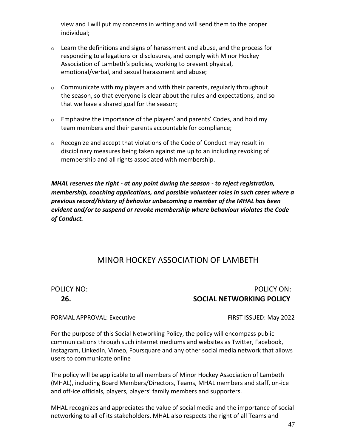view and I will put my concerns in writing and will send them to the proper individual;

- $\circ$  Learn the definitions and signs of harassment and abuse, and the process for responding to allegations or disclosures, and comply with Minor Hockey Association of Lambeth's policies, working to prevent physical, emotional/verbal, and sexual harassment and abuse;
- $\circ$  Communicate with my players and with their parents, regularly throughout the season, so that everyone is clear about the rules and expectations, and so that we have a shared goal for the season;
- $\circ$  Emphasize the importance of the players' and parents' Codes, and hold my team members and their parents accountable for compliance;
- o Recognize and accept that violations of the Code of Conduct may result in disciplinary measures being taken against me up to an including revoking of membership and all rights associated with membership.

*MHAL reserves the right - at any point during the season - to reject registration, membership, coaching applications, and possible volunteer roles in such cases where a previous record/history of behavior unbecoming a member of the MHAL has been evident and/or to suspend or revoke membership where behaviour violates the Code of Conduct.*

#### MINOR HOCKEY ASSOCIATION OF LAMBETH

#### POLICY NO: POLICY ON: **26. SOCIAL NETWORKING POLICY**

#### FORMAL APPROVAL: Executive FIRST ISSUED: May 2022

For the purpose of this Social Networking Policy, the policy will encompass public communications through such internet mediums and websites as Twitter, Facebook, Instagram, LinkedIn, Vimeo, Foursquare and any other social media network that allows users to communicate online

The policy will be applicable to all members of Minor Hockey Association of Lambeth (MHAL), including Board Members/Directors, Teams, MHAL members and staff, on-ice and off-ice officials, players, players' family members and supporters.

MHAL recognizes and appreciates the value of social media and the importance of social networking to all of its stakeholders. MHAL also respects the right of all Teams and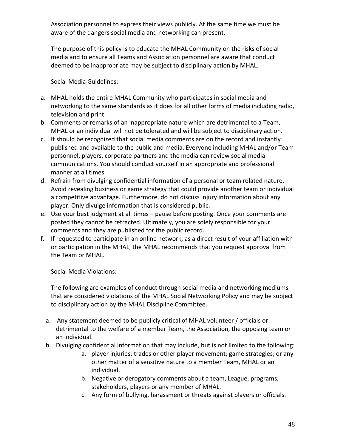Association personnel to express their views publicly. At the same time we must be aware of the dangers social media and networking can present.

The purpose of this policy is to educate the MHAL Community on the risks of social media and to ensure all Teams and Association personnel are aware that conduct deemed to be inappropriate may be subject to disciplinary action by MHAL.

Social Media Guidelines:

- a. MHAL holds the entire MHAL Community who participates in social media and networking to the same standards as it does for all other forms of media including radio, television and print.
- b. Comments or remarks of an inappropriate nature which are detrimental to a Team, MHAL or an individual will not be tolerated and will be subject to disciplinary action.
- c. It should be recognized that social media comments are on the record and instantly published and available to the public and media. Everyone including MHAL and/or Team personnel, players, corporate partners and the media can review social media communications. You should conduct yourself in an appropriate and professional manner at all times.
- d. Refrain from divulging confidential information of a personal or team related nature. Avoid revealing business or game strategy that could provide another team or individual a competitive advantage. Furthermore, do not discuss injury information about any player. Only divulge information that is considered public.
- e. Use your best judgment at all times pause before posting. Once your comments are posted they cannot be retracted. Ultimately, you are solely responsible for your comments and they are published for the public record.
- f. If requested to participate in an online network, as a direct result of your affiliation with or participation in the MHAL, the MHAL recommends that you request approval from the Team or MHAL.

Social Media Violations:

The following are examples of conduct through social media and networking mediums that are considered violations of the MHAL Social Networking Policy and may be subject to disciplinary action by the MHAL Discipline Committee.

- a. Any statement deemed to be publicly critical of MHAL volunteer / officials or detrimental to the welfare of a member Team, the Association, the opposing team or an individual.
- b. Divulging confidential information that may include, but is not limited to the following:
	- a. player injuries; trades or other player movement; game strategies; or any other matter of a sensitive nature to a member Team, MHAL or an individual.
	- b. Negative or derogatory comments about a team, League, programs, stakeholders, players or any member of MHAL.
	- c. Any form of bullying, harassment or threats against players or officials.